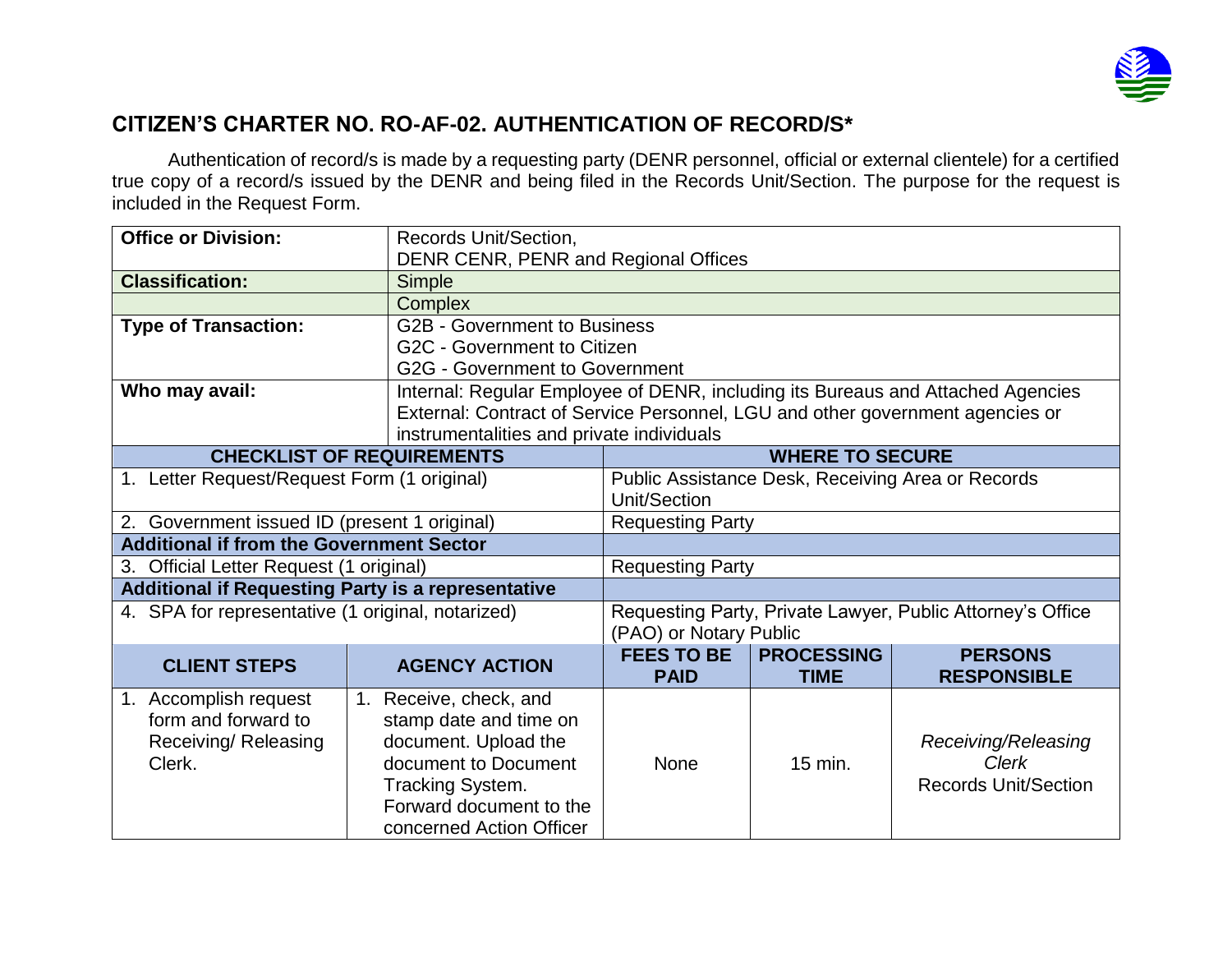

## **CITIZEN'S CHARTER NO. RO-AF-02. AUTHENTICATION OF RECORD/S\***

Authentication of record/s is made by a requesting party (DENR personnel, official or external clientele) for a certified true copy of a record/s issued by the DENR and being filed in the Records Unit/Section. The purpose for the request is included in the Request Form.

| <b>Office or Division:</b>                                | Records Unit/Section,    | DENR CENR, PENR and Regional Offices                                                 |                   |                             |  |  |  |
|-----------------------------------------------------------|--------------------------|--------------------------------------------------------------------------------------|-------------------|-----------------------------|--|--|--|
| <b>Classification:</b>                                    | <b>Simple</b>            |                                                                                      |                   |                             |  |  |  |
|                                                           | <b>Complex</b>           |                                                                                      |                   |                             |  |  |  |
| <b>Type of Transaction:</b>                               |                          | <b>G2B - Government to Business</b>                                                  |                   |                             |  |  |  |
|                                                           |                          | G2C - Government to Citizen                                                          |                   |                             |  |  |  |
|                                                           |                          | <b>G2G - Government to Government</b>                                                |                   |                             |  |  |  |
| Who may avail:                                            |                          | Internal: Regular Employee of DENR, including its Bureaus and Attached Agencies      |                   |                             |  |  |  |
|                                                           |                          | External: Contract of Service Personnel, LGU and other government agencies or        |                   |                             |  |  |  |
|                                                           |                          | instrumentalities and private individuals                                            |                   |                             |  |  |  |
| <b>CHECKLIST OF REQUIREMENTS</b>                          |                          | <b>WHERE TO SECURE</b>                                                               |                   |                             |  |  |  |
| 1. Letter Request/Request Form (1 original)               |                          | Public Assistance Desk, Receiving Area or Records                                    |                   |                             |  |  |  |
|                                                           |                          | Unit/Section                                                                         |                   |                             |  |  |  |
| 2. Government issued ID (present 1 original)              |                          | <b>Requesting Party</b>                                                              |                   |                             |  |  |  |
| <b>Additional if from the Government Sector</b>           |                          |                                                                                      |                   |                             |  |  |  |
| 3. Official Letter Request (1 original)                   |                          | <b>Requesting Party</b>                                                              |                   |                             |  |  |  |
| <b>Additional if Requesting Party is a representative</b> |                          |                                                                                      |                   |                             |  |  |  |
| 4. SPA for representative (1 original, notarized)         |                          | Requesting Party, Private Lawyer, Public Attorney's Office<br>(PAO) or Notary Public |                   |                             |  |  |  |
|                                                           |                          | <b>FEES TO BE</b>                                                                    | <b>PROCESSING</b> | <b>PERSONS</b>              |  |  |  |
| <b>CLIENT STEPS</b>                                       | <b>AGENCY ACTION</b>     | <b>PAID</b>                                                                          | <b>TIME</b>       | <b>RESPONSIBLE</b>          |  |  |  |
| 1. Accomplish request                                     | 1. Receive, check, and   |                                                                                      |                   |                             |  |  |  |
| form and forward to                                       | stamp date and time on   |                                                                                      |                   |                             |  |  |  |
| Receiving/ Releasing                                      | document. Upload the     |                                                                                      |                   | Receiving/Releasing         |  |  |  |
| Clerk.                                                    | document to Document     | <b>None</b>                                                                          | 15 min.           | <b>Clerk</b>                |  |  |  |
|                                                           | Tracking System.         |                                                                                      |                   | <b>Records Unit/Section</b> |  |  |  |
|                                                           | Forward document to the  |                                                                                      |                   |                             |  |  |  |
|                                                           | concerned Action Officer |                                                                                      |                   |                             |  |  |  |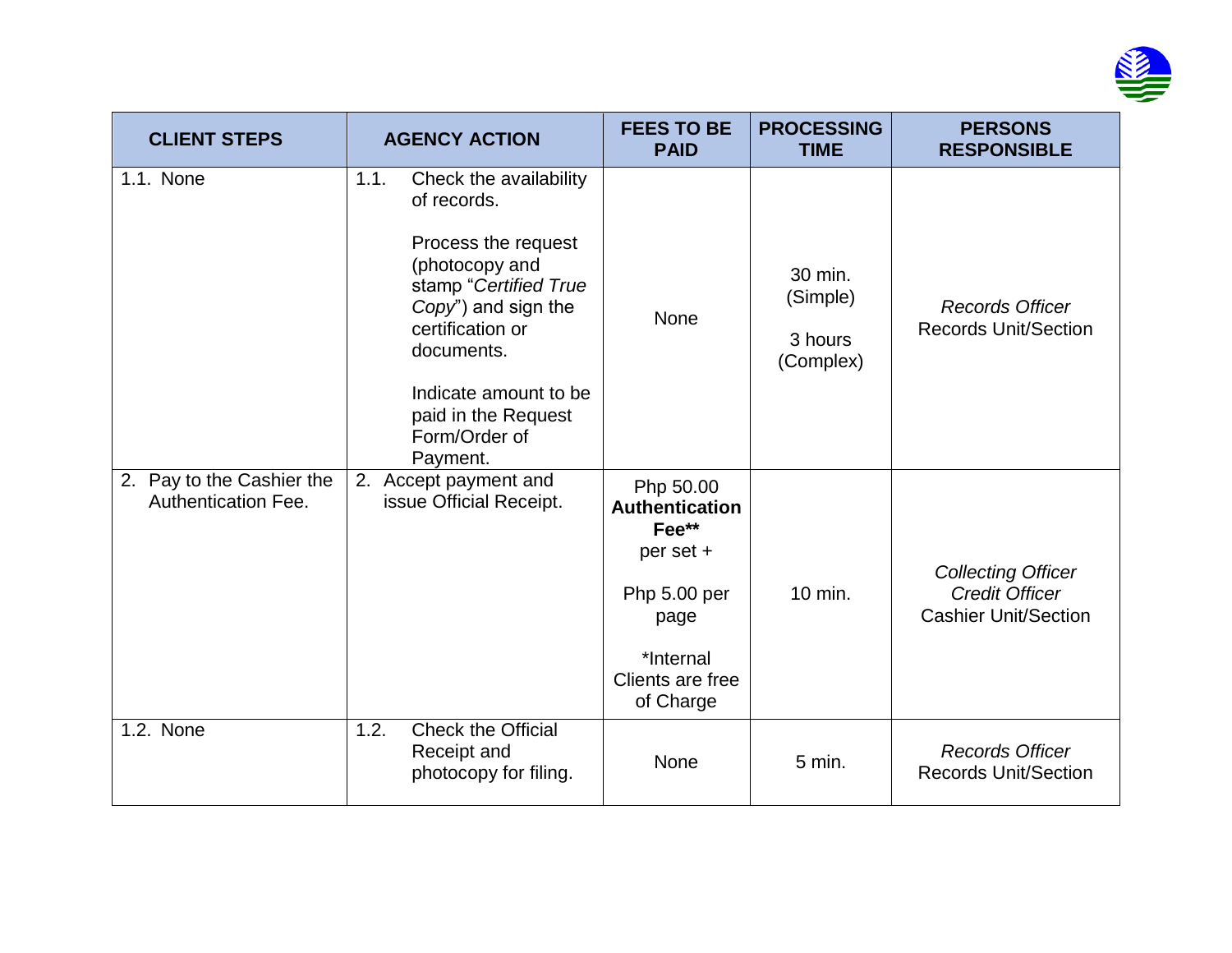

| <b>CLIENT STEPS</b>                                     | <b>AGENCY ACTION</b>                                                                                                                                                                                                                                  | <b>FEES TO BE</b><br><b>PAID</b>                                                                                               | <b>PROCESSING</b><br><b>TIME</b>            | <b>PERSONS</b><br><b>RESPONSIBLE</b>                                              |
|---------------------------------------------------------|-------------------------------------------------------------------------------------------------------------------------------------------------------------------------------------------------------------------------------------------------------|--------------------------------------------------------------------------------------------------------------------------------|---------------------------------------------|-----------------------------------------------------------------------------------|
| 1.1. None                                               | 1.1.<br>Check the availability<br>of records.<br>Process the request<br>(photocopy and<br>stamp "Certified True<br>Copy") and sign the<br>certification or<br>documents.<br>Indicate amount to be<br>paid in the Request<br>Form/Order of<br>Payment. | <b>None</b>                                                                                                                    | 30 min.<br>(Simple)<br>3 hours<br>(Complex) | <b>Records Officer</b><br><b>Records Unit/Section</b>                             |
| 2. Pay to the Cashier the<br><b>Authentication Fee.</b> | 2. Accept payment and<br>issue Official Receipt.                                                                                                                                                                                                      | Php 50.00<br><b>Authentication</b><br>Fee**<br>per set +<br>Php 5.00 per<br>page<br>*Internal<br>Clients are free<br>of Charge | 10 min.                                     | <b>Collecting Officer</b><br><b>Credit Officer</b><br><b>Cashier Unit/Section</b> |
| 1.2. None                                               | Check the Official<br>1.2.<br>Receipt and<br>photocopy for filing.                                                                                                                                                                                    | None                                                                                                                           | $5$ min.                                    | <b>Records Officer</b><br><b>Records Unit/Section</b>                             |